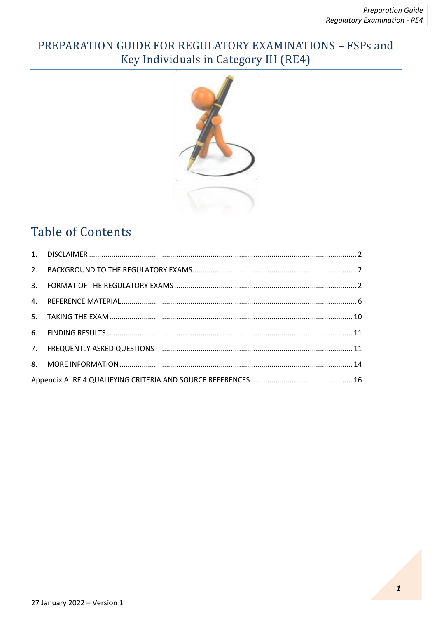# PREPARATION GUIDE FOR REGULATORY EXAMINATIONS - FSPs and Key Individuals in Category III (RE4)



# **Table of Contents**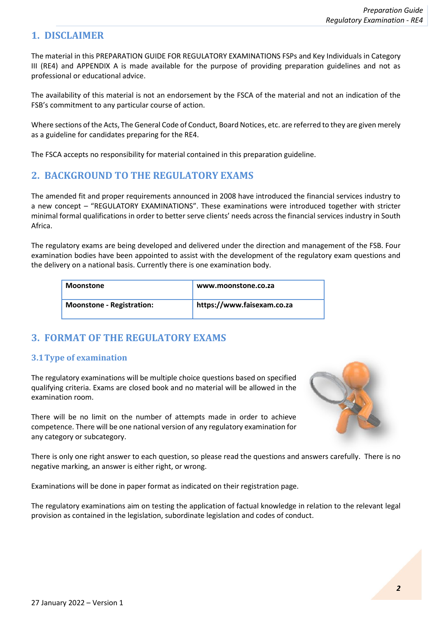## <span id="page-1-0"></span>**1. DISCLAIMER**

The material in this PREPARATION GUIDE FOR REGULATORY EXAMINATIONS FSPs and Key Individuals in Category III (RE4) and APPENDIX A is made available for the purpose of providing preparation guidelines and not as professional or educational advice.

The availability of this material is not an endorsement by the FSCA of the material and not an indication of the FSB's commitment to any particular course of action.

Where sections of the Acts, The General Code of Conduct, Board Notices, etc. are referred to they are given merely as a guideline for candidates preparing for the RE4.

The FSCA accepts no responsibility for material contained in this preparation guideline.

# <span id="page-1-1"></span>**2. BACKGROUND TO THE REGULATORY EXAMS**

The amended fit and proper requirements announced in 2008 have introduced the financial services industry to a new concept – "REGULATORY EXAMINATIONS". These examinations were introduced together with stricter minimal formal qualifications in order to better serve clients' needs across the financial services industry in South Africa.

The regulatory exams are being developed and delivered under the direction and management of the FSB. Four examination bodies have been appointed to assist with the development of the regulatory exam questions and the delivery on a national basis. Currently there is one examination body.

| <b>Moonstone</b>                 | www.moonstone.co.za        |
|----------------------------------|----------------------------|
| <b>Moonstone - Registration:</b> | https://www.faisexam.co.za |

# <span id="page-1-2"></span>**3. FORMAT OF THE REGULATORY EXAMS**

## **3.1Type of examination**

The regulatory examinations will be multiple choice questions based on specified qualifying criteria. Exams are closed book and no material will be allowed in the examination room.

There will be no limit on the number of attempts made in order to achieve competence. There will be one national version of any regulatory examination for any category or subcategory.



There is only one right answer to each question, so please read the questions and answers carefully. There is no negative marking, an answer is either right, or wrong.

Examinations will be done in paper format as indicated on their registration page.

The regulatory examinations aim on testing the application of factual knowledge in relation to the relevant legal provision as contained in the legislation, subordinate legislation and codes of conduct.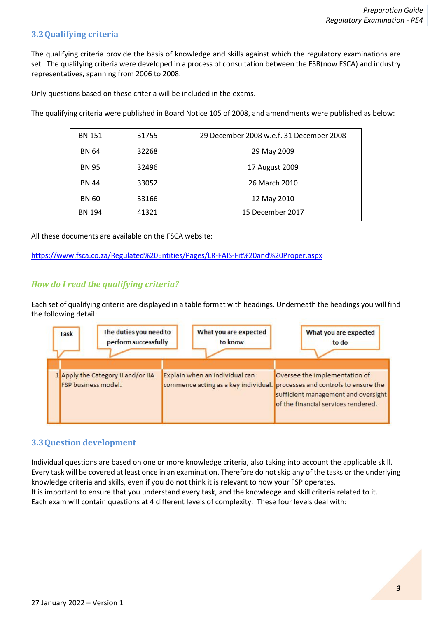### **3.2Qualifying criteria**

The qualifying criteria provide the basis of knowledge and skills against which the regulatory examinations are set. The qualifying criteria were developed in a process of consultation between the FSB(now FSCA) and industry representatives, spanning from 2006 to 2008.

Only questions based on these criteria will be included in the exams.

The qualifying criteria were published in Board Notice 105 of 2008, and amendments were published as below:

| <b>BN 151</b> | 31755 | 29 December 2008 w.e.f. 31 December 2008 |
|---------------|-------|------------------------------------------|
| <b>BN 64</b>  | 32268 | 29 May 2009                              |
| <b>BN 95</b>  | 32496 | 17 August 2009                           |
| <b>BN 44</b>  | 33052 | 26 March 2010                            |
| <b>BN 60</b>  | 33166 | 12 May 2010                              |
| <b>BN 194</b> | 41321 | 15 December 2017                         |

All these documents are available on the FSCA website:

<https://www.fsca.co.za/Regulated%20Entities/Pages/LR-FAIS-Fit%20and%20Proper.aspx>

#### *How do I read the qualifying criteria?*

Each set of qualifying criteria are displayed in a table format with headings. Underneath the headings you will find the following detail:



#### **3.3Question development**

Individual questions are based on one or more knowledge criteria, also taking into account the applicable skill. Every task will be covered at least once in an examination. Therefore do not skip any of the tasks or the underlying knowledge criteria and skills, even if you do not think it is relevant to how your FSP operates. It is important to ensure that you understand every task, and the knowledge and skill criteria related to it. Each exam will contain questions at 4 different levels of complexity. These four levels deal with: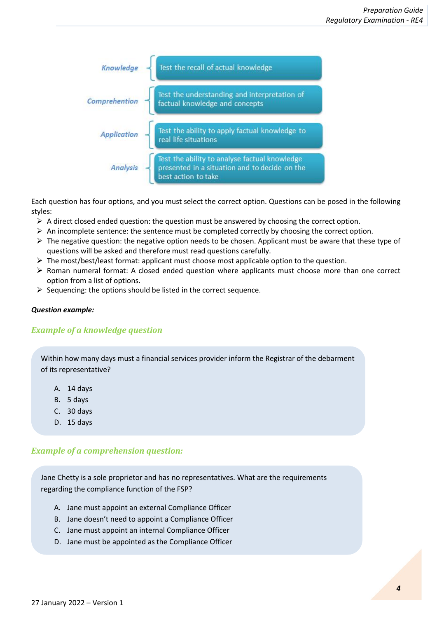

Each question has four options, and you must select the correct option. Questions can be posed in the following styles:

- $\triangleright$  A direct closed ended question: the question must be answered by choosing the correct option.
- $\triangleright$  An incomplete sentence: the sentence must be completed correctly by choosing the correct option.
- $\triangleright$  The negative question: the negative option needs to be chosen. Applicant must be aware that these type of questions will be asked and therefore must read questions carefully.
- $\triangleright$  The most/best/least format: applicant must choose most applicable option to the question.
- ➢ Roman numeral format: A closed ended question where applicants must choose more than one correct option from a list of options.
- $\triangleright$  Sequencing: the options should be listed in the correct sequence.

#### *Question example:*

#### *Example of a knowledge question*

Within how many days must a financial services provider inform the Registrar of the debarment of its representative?

- A. 14 days
- B. 5 days
- C. 30 days
- D. 15 days

#### *Example of a comprehension question:*

Jane Chetty is a sole proprietor and has no representatives. What are the requirements regarding the compliance function of the FSP?

- A. Jane must appoint an external Compliance Officer
- B. Jane doesn't need to appoint a Compliance Officer
- C. Jane must appoint an internal Compliance Officer
- D. Jane must be appointed as the Compliance Officer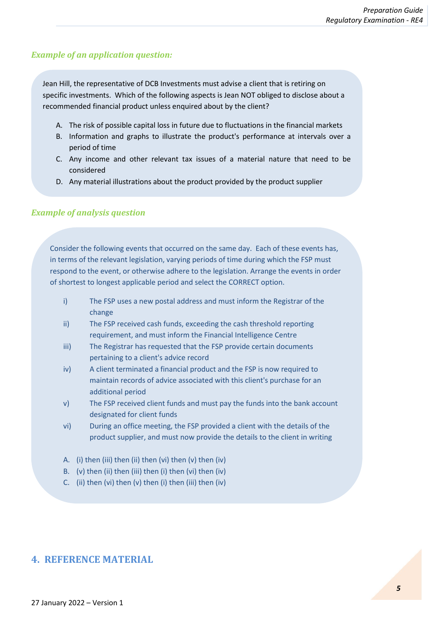#### *Example of an application question:*

Jean Hill, the representative of DCB Investments must advise a client that is retiring on specific investments. Which of the following aspects is Jean NOT obliged to disclose about a recommended financial product unless enquired about by the client?

- A. The risk of possible capital loss in future due to fluctuations in the financial markets
- B. Information and graphs to illustrate the product's performance at intervals over a period of time
- C. Any income and other relevant tax issues of a material nature that need to be considered
- D. Any material illustrations about the product provided by the product supplier

#### *Example of analysis question*

Consider the following events that occurred on the same day. Each of these events has, in terms of the relevant legislation, varying periods of time during which the FSP must respond to the event, or otherwise adhere to the legislation. Arrange the events in order of shortest to longest applicable period and select the CORRECT option.

- i) The FSP uses a new postal address and must inform the Registrar of the change
- ii) The FSP received cash funds, exceeding the cash threshold reporting requirement, and must inform the Financial Intelligence Centre
- iii) The Registrar has requested that the FSP provide certain documents pertaining to a client's advice record
- iv) A client terminated a financial product and the FSP is now required to maintain records of advice associated with this client's purchase for an additional period
- v) The FSP received client funds and must pay the funds into the bank account designated for client funds
- vi) During an office meeting, the FSP provided a client with the details of the product supplier, and must now provide the details to the client in writing
- A. (i) then (iii) then (ii) then (vi) then (v) then (iv)
- B. (v) then (ii) then (iii) then (i) then (vi) then (iv)
- C. (ii) then (vi) then (v) then (i) then (iii) then (iv)

#### <span id="page-4-0"></span>**4. REFERENCE MATERIAL**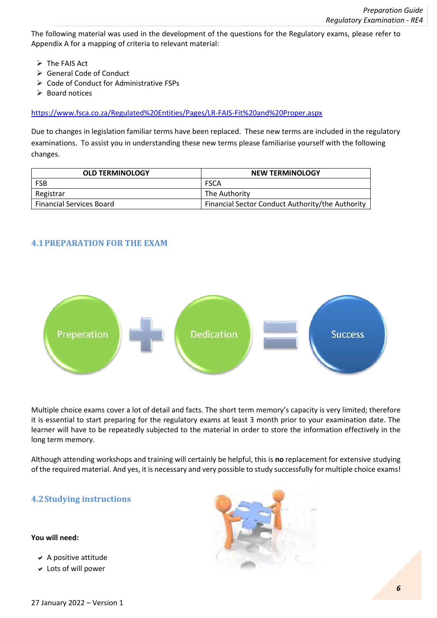The following material was used in the development of the questions for the Regulatory exams, please refer to Appendix A for a mapping of criteria to relevant material:

- ➢ The FAIS Act
- ➢ General Code of Conduct
- ➢ Code of Conduct for Administrative FSPs
- ➢ Board notices

<https://www.fsca.co.za/Regulated%20Entities/Pages/LR-FAIS-Fit%20and%20Proper.aspx>

Due to changes in legislation familiar terms have been replaced. These new terms are included in the regulatory examinations. To assist you in understanding these new terms please familiarise yourself with the following changes.

| <b>OLD TERMINOLOGY</b>          | <b>NEW TERMINOLOGY</b>                           |
|---------------------------------|--------------------------------------------------|
| <b>FSB</b>                      | <b>FSCA</b>                                      |
| Registrar                       | The Authority                                    |
| <b>Financial Services Board</b> | Financial Sector Conduct Authority/the Authority |

#### **4.1PREPARATION FOR THE EXAM**



Multiple choice exams cover a lot of detail and facts. The short term memory's capacity is very limited; therefore it is essential to start preparing for the regulatory exams at least 3 month prior to your examination date. The learner will have to be repeatedly subjected to the material in order to store the information effectively in the long term memory.

Although attending workshops and training will certainly be helpful, this is **no** replacement for extensive studying of the required material. And yes, it is necessary and very possible to study successfully for multiple choice exams!

#### **4.2Studying instructions**

#### **You will need:**

- $\vee$  A positive attitude
- Lots of will power

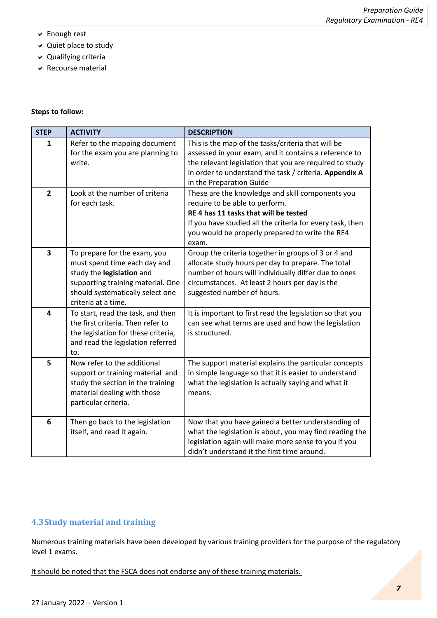- Enough rest
- Quiet place to study
- Qualifying criteria
- $\vee$  Recourse material

#### **Steps to follow:**

| <b>STEP</b>    | <b>ACTIVITY</b>                                                                                                                                                                           | <b>DESCRIPTION</b>                                                                                                                                                                                                                                           |
|----------------|-------------------------------------------------------------------------------------------------------------------------------------------------------------------------------------------|--------------------------------------------------------------------------------------------------------------------------------------------------------------------------------------------------------------------------------------------------------------|
| 1              | Refer to the mapping document<br>for the exam you are planning to<br>write.                                                                                                               | This is the map of the tasks/criteria that will be<br>assessed in your exam, and it contains a reference to<br>the relevant legislation that you are required to study<br>in order to understand the task / criteria. Appendix A<br>in the Preparation Guide |
| $\overline{2}$ | Look at the number of criteria<br>for each task.                                                                                                                                          | These are the knowledge and skill components you<br>require to be able to perform.<br>RE 4 has 11 tasks that will be tested<br>If you have studied all the criteria for every task, then<br>you would be properly prepared to write the RE4<br>exam.         |
| 3              | To prepare for the exam, you<br>must spend time each day and<br>study the legislation and<br>supporting training material. One<br>should systematically select one<br>criteria at a time. | Group the criteria together in groups of 3 or 4 and<br>allocate study hours per day to prepare. The total<br>number of hours will individually differ due to ones<br>circumstances. At least 2 hours per day is the<br>suggested number of hours.            |
| 4              | To start, read the task, and then<br>the first criteria. Then refer to<br>the legislation for these criteria,<br>and read the legislation referred<br>to.                                 | It is important to first read the legislation so that you<br>can see what terms are used and how the legislation<br>is structured.                                                                                                                           |
| 5              | Now refer to the additional<br>support or training material and<br>study the section in the training<br>material dealing with those<br>particular criteria.                               | The support material explains the particular concepts<br>in simple language so that it is easier to understand<br>what the legislation is actually saying and what it<br>means.                                                                              |
| 6              | Then go back to the legislation<br>itself, and read it again.                                                                                                                             | Now that you have gained a better understanding of<br>what the legislation is about, you may find reading the<br>legislation again will make more sense to you if you<br>didn't understand it the first time around.                                         |

## **4.3Study material and training**

Numerous training materials have been developed by various training providers for the purpose of the regulatory level 1 exams.

It should be noted that the FSCA does not endorse any of these training materials.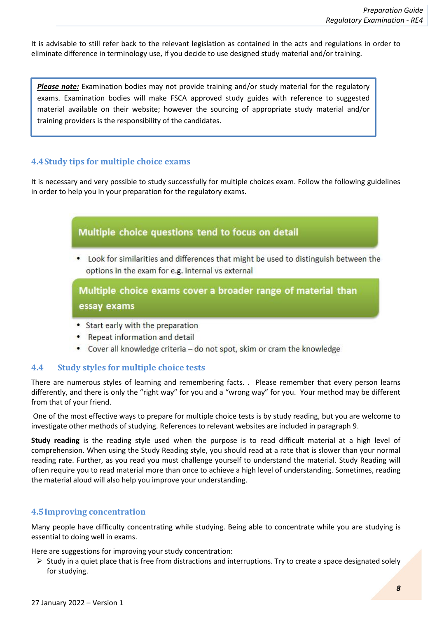It is advisable to still refer back to the relevant legislation as contained in the acts and regulations in order to eliminate difference in terminology use, if you decide to use designed study material and/or training.

*Please note:* Examination bodies may not provide training and/or study material for the regulatory exams. Examination bodies will make FSCA approved study guides with reference to suggested material available on their website; however the sourcing of appropriate study material and/or training providers is the responsibility of the candidates.

#### **4.4Study tips for multiple choice exams**

It is necessary and very possible to study successfully for multiple choices exam. Follow the following guidelines in order to help you in your preparation for the regulatory exams.



- Start early with the preparation
- Repeat information and detail
- Cover all knowledge criteria do not spot, skim or cram the knowledge

#### **4.4 Study styles for multiple choice tests**

There are numerous styles of learning and remembering facts. . Please remember that every person learns differently, and there is only the "right way" for you and a "wrong way" for you. Your method may be different from that of your friend.

One of the most effective ways to prepare for multiple choice tests is by study reading, but you are welcome to investigate other methods of studying. References to relevant websites are included in paragraph 9.

**Study reading** is the reading style used when the purpose is to read difficult material at a high level of comprehension. When using the Study Reading style, you should read at a rate that is slower than your normal reading rate. Further, as you read you must challenge yourself to understand the material. Study Reading will often require you to read material more than once to achieve a high level of understanding. Sometimes, reading the material aloud will also help you improve your understanding.

#### **4.5Improving concentration**

Many people have difficulty concentrating while studying. Being able to concentrate while you are studying is essential to doing well in exams.

Here are suggestions for improving your study concentration:

 $\triangleright$  Study in a quiet place that is free from distractions and interruptions. Try to create a space designated solely for studying.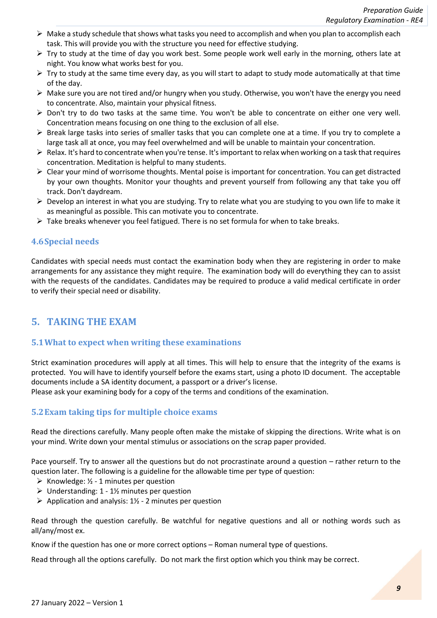- $\triangleright$  Make a study schedule that shows what tasks you need to accomplish and when you plan to accomplish each task. This will provide you with the structure you need for effective studying.
- $\triangleright$  Try to study at the time of day you work best. Some people work well early in the morning, others late at night. You know what works best for you.
- $\triangleright$  Try to study at the same time every day, as you will start to adapt to study mode automatically at that time of the day.
- $\triangleright$  Make sure you are not tired and/or hungry when you study. Otherwise, you won't have the energy you need to concentrate. Also, maintain your physical fitness.
- $\triangleright$  Don't try to do two tasks at the same time. You won't be able to concentrate on either one very well. Concentration means focusing on one thing to the exclusion of all else.
- ➢ Break large tasks into series of smaller tasks that you can complete one at a time. If you try to complete a large task all at once, you may feel overwhelmed and will be unable to maintain your concentration.
- ➢ Relax. It's hard to concentrate when you're tense. It's important to relax when working on a task that requires concentration. Meditation is helpful to many students.
- ➢ Clear your mind of worrisome thoughts. Mental poise is important for concentration. You can get distracted by your own thoughts. Monitor your thoughts and prevent yourself from following any that take you off track. Don't daydream.
- $\triangleright$  Develop an interest in what you are studying. Try to relate what you are studying to you own life to make it as meaningful as possible. This can motivate you to concentrate.
- $\triangleright$  Take breaks whenever you feel fatigued. There is no set formula for when to take breaks.

#### **4.6Special needs**

Candidates with special needs must contact the examination body when they are registering in order to make arrangements for any assistance they might require. The examination body will do everything they can to assist with the requests of the candidates. Candidates may be required to produce a valid medical certificate in order to verify their special need or disability.

## <span id="page-8-0"></span>**5. TAKING THE EXAM**

#### **5.1What to expect when writing these examinations**

Strict examination procedures will apply at all times. This will help to ensure that the integrity of the exams is protected. You will have to identify yourself before the exams start, using a photo ID document. The acceptable documents include a SA identity document, a passport or a driver's license.

Please ask your examining body for a copy of the terms and conditions of the examination.

#### **5.2Exam taking tips for multiple choice exams**

Read the directions carefully. Many people often make the mistake of skipping the directions. Write what is on your mind. Write down your mental stimulus or associations on the scrap paper provided.

Pace yourself. Try to answer all the questions but do not procrastinate around a question – rather return to the question later. The following is a guideline for the allowable time per type of question:

- $\triangleright$  Knowledge:  $\frac{1}{2}$  1 minutes per question
- $\triangleright$  Understanding: 1 1½ minutes per question
- $\triangleright$  Application and analysis: 1½ 2 minutes per question

Read through the question carefully. Be watchful for negative questions and all or nothing words such as all/any/most ex.

Know if the question has one or more correct options – Roman numeral type of questions.

Read through all the options carefully. Do not mark the first option which you think may be correct.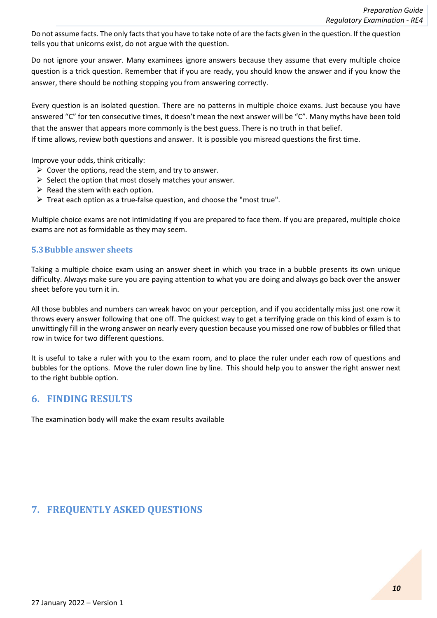Do not assume facts. The only facts that you have to take note of are the facts given in the question. If the question tells you that unicorns exist, do not argue with the question.

Do not ignore your answer. Many examinees ignore answers because they assume that every multiple choice question is a trick question. Remember that if you are ready, you should know the answer and if you know the answer, there should be nothing stopping you from answering correctly.

Every question is an isolated question. There are no patterns in multiple choice exams. Just because you have answered "C" for ten consecutive times, it doesn't mean the next answer will be "C". Many myths have been told that the answer that appears more commonly is the best guess. There is no truth in that belief.

If time allows, review both questions and answer. It is possible you misread questions the first time.

Improve your odds, think critically:

- $\triangleright$  Cover the options, read the stem, and try to answer.
- $\triangleright$  Select the option that most closely matches your answer.
- $\triangleright$  Read the stem with each option.
- ➢ Treat each option as a true-false question, and choose the "most true".

Multiple choice exams are not intimidating if you are prepared to face them. If you are prepared, multiple choice exams are not as formidable as they may seem.

#### **5.3Bubble answer sheets**

Taking a multiple choice exam using an answer sheet in which you trace in a bubble presents its own unique difficulty. Always make sure you are paying attention to what you are doing and always go back over the answer sheet before you turn it in.

All those bubbles and numbers can wreak havoc on your perception, and if you accidentally miss just one row it throws every answer following that one off. The quickest way to get a terrifying grade on this kind of exam is to unwittingly fill in the wrong answer on nearly every question because you missed one row of bubbles or filled that row in twice for two different questions.

It is useful to take a ruler with you to the exam room, and to place the ruler under each row of questions and bubbles for the options. Move the ruler down line by line. This should help you to answer the right answer next to the right bubble option.

#### <span id="page-9-0"></span>**6. FINDING RESULTS**

The examination body will make the exam results available

## <span id="page-9-1"></span>**7. FREQUENTLY ASKED QUESTIONS**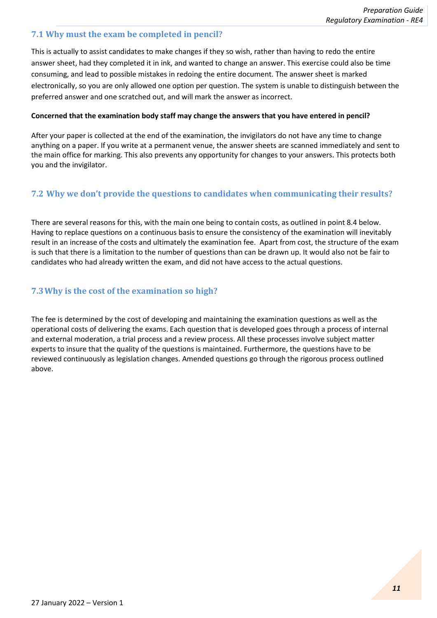#### **7.1 Why must the exam be completed in pencil?**

This is actually to assist candidates to make changes if they so wish, rather than having to redo the entire answer sheet, had they completed it in ink, and wanted to change an answer. This exercise could also be time consuming, and lead to possible mistakes in redoing the entire document. The answer sheet is marked electronically, so you are only allowed one option per question. The system is unable to distinguish between the preferred answer and one scratched out, and will mark the answer as incorrect.

#### **Concerned that the examination body staff may change the answers that you have entered in pencil?**

After your paper is collected at the end of the examination, the invigilators do not have any time to change anything on a paper. If you write at a permanent venue, the answer sheets are scanned immediately and sent to the main office for marking. This also prevents any opportunity for changes to your answers. This protects both you and the invigilator.

### **7.2 Why we don't provide the questions to candidates when communicating their results?**

There are several reasons for this, with the main one being to contain costs, as outlined in point 8.4 below. Having to replace questions on a continuous basis to ensure the consistency of the examination will inevitably result in an increase of the costs and ultimately the examination fee. Apart from cost, the structure of the exam is such that there is a limitation to the number of questions than can be drawn up. It would also not be fair to candidates who had already written the exam, and did not have access to the actual questions.

### **7.3Why is the cost of the examination so high?**

The fee is determined by the cost of developing and maintaining the examination questions as well as the operational costs of delivering the exams. Each question that is developed goes through a process of internal and external moderation, a trial process and a review process. All these processes involve subject matter experts to insure that the quality of the questions is maintained. Furthermore, the questions have to be reviewed continuously as legislation changes. Amended questions go through the rigorous process outlined above.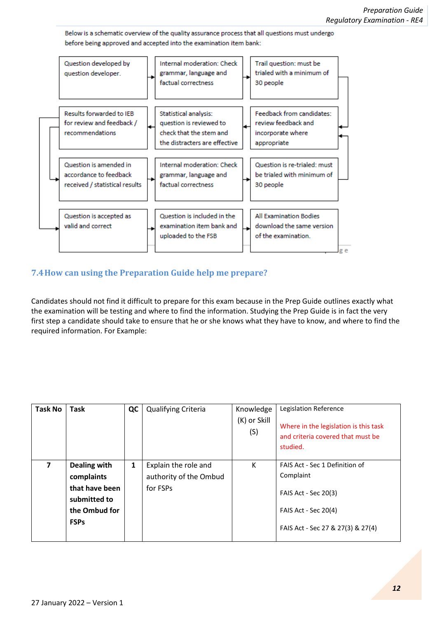Below is a schematic overview of the quality assurance process that all questions must undergo before being approved and accepted into the examination item bank:



### **7.4How can using the Preparation Guide help me prepare?**

Candidates should not find it difficult to prepare for this exam because in the Prep Guide outlines exactly what the examination will be testing and where to find the information. Studying the Prep Guide is in fact the very first step a candidate should take to ensure that he or she knows what they have to know, and where to find the required information. For Example:

| <b>Task No</b> | Task                                                                                         | QC | Qualifying Criteria                                        | Knowledge<br>(K) or Skill<br>(S) | Legislation Reference<br>Where in the legislation is this task<br>and criteria covered that must be<br>studied.                         |
|----------------|----------------------------------------------------------------------------------------------|----|------------------------------------------------------------|----------------------------------|-----------------------------------------------------------------------------------------------------------------------------------------|
| 7              | Dealing with<br>complaints<br>that have been<br>submitted to<br>the Ombud for<br><b>FSPs</b> | 1  | Explain the role and<br>authority of the Ombud<br>for FSPs | К                                | FAIS Act - Sec 1 Definition of<br>Complaint<br>FAIS Act - Sec 20(3)<br><b>FAIS Act - Sec 20(4)</b><br>FAIS Act - Sec 27 & 27(3) & 27(4) |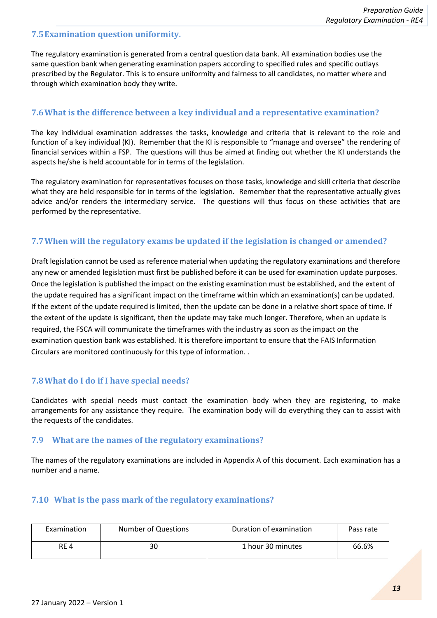#### **7.5Examination question uniformity.**

The regulatory examination is generated from a central question data bank. All examination bodies use the same question bank when generating examination papers according to specified rules and specific outlays prescribed by the Regulator. This is to ensure uniformity and fairness to all candidates, no matter where and through which examination body they write.

#### **7.6What is the difference between a key individual and a representative examination?**

The key individual examination addresses the tasks, knowledge and criteria that is relevant to the role and function of a key individual (KI). Remember that the KI is responsible to "manage and oversee" the rendering of financial services within a FSP. The questions will thus be aimed at finding out whether the KI understands the aspects he/she is held accountable for in terms of the legislation.

The regulatory examination for representatives focuses on those tasks, knowledge and skill criteria that describe what they are held responsible for in terms of the legislation. Remember that the representative actually gives advice and/or renders the intermediary service. The questions will thus focus on these activities that are performed by the representative.

#### **7.7When will the regulatory exams be updated if the legislation is changed or amended?**

Draft legislation cannot be used as reference material when updating the regulatory examinations and therefore any new or amended legislation must first be published before it can be used for examination update purposes. Once the legislation is published the impact on the existing examination must be established, and the extent of the update required has a significant impact on the timeframe within which an examination(s) can be updated. If the extent of the update required is limited, then the update can be done in a relative short space of time. If the extent of the update is significant, then the update may take much longer. Therefore, when an update is required, the FSCA will communicate the timeframes with the industry as soon as the impact on the examination question bank was established. It is therefore important to ensure that the FAIS Information Circulars are monitored continuously for this type of information. .

#### **7.8What do I do if I have special needs?**

Candidates with special needs must contact the examination body when they are registering, to make arrangements for any assistance they require. The examination body will do everything they can to assist with the requests of the candidates.

#### **7.9 What are the names of the regulatory examinations?**

The names of the regulatory examinations are included in Appendix A of this document. Each examination has a number and a name.

#### **7.10 What is the pass mark of the regulatory examinations?**

| Number of Questions<br>Examination |    | Duration of examination | Pass rate |
|------------------------------------|----|-------------------------|-----------|
| RE <sub>4</sub>                    | 30 | 1 hour 30 minutes       | 66.6%     |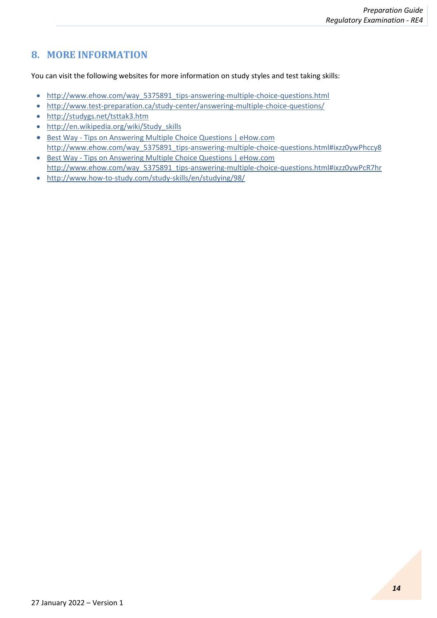# <span id="page-13-0"></span>**8. MORE INFORMATION**

You can visit the following websites for more information on study styles and test taking skills:

- [http://www.ehow.com/way\\_5375891\\_tips-answering-multiple-choice-questions.html](http://www.ehow.com/way_5375891_tips-answering-multiple-choice-questions.html)
- <http://www.test-preparation.ca/study-center/answering-multiple-choice-questions/>
- <http://studygs.net/tsttak3.htm>
- [http://en.wikipedia.org/wiki/Study\\_skills](http://en.wikipedia.org/wiki/Study_skills)
- Best Way [Tips on Answering Multiple Choice Questions | eHow.com](http://www.ehow.com/way_5375891_tips-answering-multiple-choice-questions.html#ixzz0ywPhccy8) [http://www.ehow.com/way\\_5375891\\_tips-answering-multiple-choice-questions.html#ixzz0ywPhccy8](http://www.ehow.com/way_5375891_tips-answering-multiple-choice-questions.html#ixzz0ywPhccy8)
- Best Way [Tips on Answering Multiple Choice Questions | eHow.com](http://www.ehow.com/way_5375891_tips-answering-multiple-choice-questions.html#ixzz0ywPcR7hr) [http://www.ehow.com/way\\_5375891\\_tips-answering-multiple-choice-questions.html#ixzz0ywPcR7hr](http://www.ehow.com/way_5375891_tips-answering-multiple-choice-questions.html#ixzz0ywPcR7hr)
- <http://www.how-to-study.com/study-skills/en/studying/98/>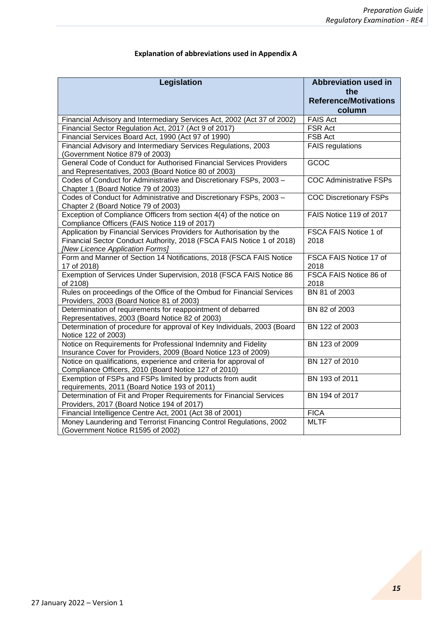| Legislation                                                                                                                                                                      | <b>Abbreviation used in</b><br>the<br><b>Reference/Motivations</b><br>column |
|----------------------------------------------------------------------------------------------------------------------------------------------------------------------------------|------------------------------------------------------------------------------|
| Financial Advisory and Intermediary Services Act, 2002 (Act 37 of 2002)                                                                                                          | <b>FAIS Act</b>                                                              |
| Financial Sector Regulation Act, 2017 (Act 9 of 2017)                                                                                                                            | FSR Act                                                                      |
| Financial Services Board Act, 1990 (Act 97 of 1990)                                                                                                                              | FSB Act                                                                      |
| Financial Advisory and Intermediary Services Regulations, 2003<br>(Government Notice 879 of 2003)                                                                                | <b>FAIS</b> regulations                                                      |
| General Code of Conduct for Authorised Financial Services Providers<br>and Representatives, 2003 (Board Notice 80 of 2003)                                                       | GCOC                                                                         |
| Codes of Conduct for Administrative and Discretionary FSPs, 2003 -<br>Chapter 1 (Board Notice 79 of 2003)                                                                        | <b>COC Administrative FSPs</b>                                               |
| Codes of Conduct for Administrative and Discretionary FSPs, 2003 -<br>Chapter 2 (Board Notice 79 of 2003)                                                                        | <b>COC Discretionary FSPs</b>                                                |
| Exception of Compliance Officers from section 4(4) of the notice on<br>Compliance Officers (FAIS Notice 119 of 2017)                                                             | FAIS Notice 119 of 2017                                                      |
| Application by Financial Services Providers for Authorisation by the<br>Financial Sector Conduct Authority, 2018 (FSCA FAIS Notice 1 of 2018)<br>[New Licence Application Forms] | FSCA FAIS Notice 1 of<br>2018                                                |
| Form and Manner of Section 14 Notifications, 2018 (FSCA FAIS Notice<br>17 of 2018)                                                                                               | FSCA FAIS Notice 17 of<br>2018                                               |
| Exemption of Services Under Supervision, 2018 (FSCA FAIS Notice 86<br>of 2108)                                                                                                   | FSCA FAIS Notice 86 of<br>2018                                               |
| Rules on proceedings of the Office of the Ombud for Financial Services<br>Providers, 2003 (Board Notice 81 of 2003)                                                              | BN 81 of 2003                                                                |
| Determination of requirements for reappointment of debarred<br>Representatives, 2003 (Board Notice 82 of 2003)                                                                   | BN 82 of 2003                                                                |
| Determination of procedure for approval of Key Individuals, 2003 (Board<br>Notice 122 of 2003)                                                                                   | BN 122 of 2003                                                               |
| Notice on Requirements for Professional Indemnity and Fidelity<br>Insurance Cover for Providers, 2009 (Board Notice 123 of 2009)                                                 | BN 123 of 2009                                                               |
| Notice on qualifications, experience and criteria for approval of<br>Compliance Officers, 2010 (Board Notice 127 of 2010)                                                        | BN 127 of 2010                                                               |
| Exemption of FSPs and FSPs limited by products from audit<br>requirements, 2011 (Board Notice 193 of 2011)                                                                       | BN 193 of 2011                                                               |
| Determination of Fit and Proper Requirements for Financial Services<br>Providers, 2017 (Board Notice 194 of 2017)                                                                | BN 194 of 2017                                                               |
| Financial Intelligence Centre Act, 2001 (Act 38 of 2001)                                                                                                                         | <b>FICA</b>                                                                  |
| Money Laundering and Terrorist Financing Control Regulations, 2002<br>(Government Notice R1595 of 2002)                                                                          | <b>MLTF</b>                                                                  |

## **Explanation of abbreviations used in Appendix A**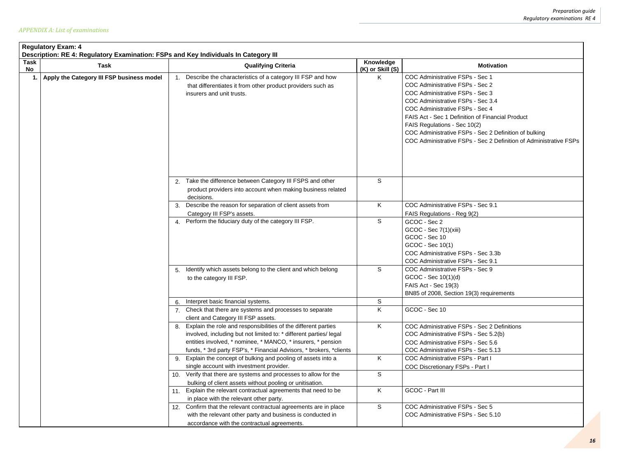| <b>Motivation</b>                                                                                                                                                                                                                                                                                                                                                                                             |
|---------------------------------------------------------------------------------------------------------------------------------------------------------------------------------------------------------------------------------------------------------------------------------------------------------------------------------------------------------------------------------------------------------------|
| <b>COC Administrative FSPs - Sec 1</b><br>COC Administrative FSPs - Sec 2<br>COC Administrative FSPs - Sec 3<br>COC Administrative FSPs - Sec 3.4<br>COC Administrative FSPs - Sec 4<br><b>FAIS Act - Sec 1 Definition of Financial Product</b><br>FAIS Regulations - Sec 10(2)<br>COC Administrative FSPs - Sec 2 Definition of bulking<br>COC Administrative FSPs - Sec 2 Definition of Administrative FSPs |
|                                                                                                                                                                                                                                                                                                                                                                                                               |
| COC Administrative FSPs - Sec 9.1                                                                                                                                                                                                                                                                                                                                                                             |
| FAIS Regulations - Reg 9(2)                                                                                                                                                                                                                                                                                                                                                                                   |
| GCOC - Sec 2<br>GCOC - Sec 7(1)(xiii)<br>GCOC - Sec 10<br>GCOC - Sec 10(1)<br>COC Administrative FSPs - Sec 3.3b<br>COC Administrative FSPs - Sec 9.1                                                                                                                                                                                                                                                         |
| COC Administrative FSPs - Sec 9                                                                                                                                                                                                                                                                                                                                                                               |
| GCOC - Sec 10(1)(d)                                                                                                                                                                                                                                                                                                                                                                                           |
| FAIS Act - Sec 19(3)<br>BN85 of 2008, Section 19(3) requirements                                                                                                                                                                                                                                                                                                                                              |
|                                                                                                                                                                                                                                                                                                                                                                                                               |
| GCOC - Sec 10                                                                                                                                                                                                                                                                                                                                                                                                 |
| COC Administrative FSPs - Sec 2 Definitions<br>COC Administrative FSPs - Sec 5.2(b)<br>COC Administrative FSPs - Sec 5.6<br>COC Administrative FSPs - Sec 5.13<br><b>COC Administrative FSPs - Part I</b>                                                                                                                                                                                                     |
| <b>COC Discretionary FSPs - Part I</b>                                                                                                                                                                                                                                                                                                                                                                        |
| <b>GCOC - Part III</b>                                                                                                                                                                                                                                                                                                                                                                                        |
| COC Administrative FSPs - Sec 5                                                                                                                                                                                                                                                                                                                                                                               |
| COC Administrative FSPs - Sec 5 10                                                                                                                                                                                                                                                                                                                                                                            |

| <b>Task</b> | Description: RE 4: Regulatory Examination: FSPs and Key Individuals In Category III |     |                                                                                                                                                                                                                                                                             | Knowledge        |                                                                                                                                                                                                                                                                                                                                                                                    |
|-------------|-------------------------------------------------------------------------------------|-----|-----------------------------------------------------------------------------------------------------------------------------------------------------------------------------------------------------------------------------------------------------------------------------|------------------|------------------------------------------------------------------------------------------------------------------------------------------------------------------------------------------------------------------------------------------------------------------------------------------------------------------------------------------------------------------------------------|
| No          | <b>Task</b>                                                                         |     | <b>Qualifying Criteria</b>                                                                                                                                                                                                                                                  | (K) or Skill (S) | <b>Motivation</b>                                                                                                                                                                                                                                                                                                                                                                  |
| -1.         | Apply the Category III FSP business model                                           |     | Describe the characteristics of a category III FSP and how<br>that differentiates it from other product providers such as<br>insurers and unit trusts.                                                                                                                      | K.               | COC Administrative FSPs - Sec 1<br>COC Administrative FSPs - Sec 2<br>COC Administrative FSPs - Sec 3<br>COC Administrative FSPs - Sec 3.4<br>COC Administrative FSPs - Sec 4<br>FAIS Act - Sec 1 Definition of Financial Product<br>FAIS Regulations - Sec 10(2)<br>COC Administrative FSPs - Sec 2 Definition of bulking<br>COC Administrative FSPs - Sec 2 Definition of Admini |
|             |                                                                                     |     | Take the difference between Category III FSPS and other                                                                                                                                                                                                                     | S                |                                                                                                                                                                                                                                                                                                                                                                                    |
|             |                                                                                     |     | product providers into account when making business related<br>decisions.                                                                                                                                                                                                   |                  |                                                                                                                                                                                                                                                                                                                                                                                    |
|             |                                                                                     | 3.  | Describe the reason for separation of client assets from                                                                                                                                                                                                                    | K.               | COC Administrative FSPs - Sec 9.1                                                                                                                                                                                                                                                                                                                                                  |
|             |                                                                                     |     | Category III FSP's assets.                                                                                                                                                                                                                                                  |                  | FAIS Regulations - Reg 9(2)                                                                                                                                                                                                                                                                                                                                                        |
|             |                                                                                     |     | 4. Perform the fiduciary duty of the category III FSP.                                                                                                                                                                                                                      | S                | GCOC - Sec 2<br>GCOC - Sec 7(1)(xiii)<br>GCOC - Sec 10<br>GCOC - Sec 10(1)<br>COC Administrative FSPs - Sec 3.3b<br>COC Administrative FSPs - Sec 9.1                                                                                                                                                                                                                              |
|             |                                                                                     | 5.  | Identify which assets belong to the client and which belong<br>to the category III FSP.                                                                                                                                                                                     | S                | COC Administrative FSPs - Sec 9<br>GCOC - Sec 10(1)(d)<br>FAIS Act - Sec 19(3)<br>BN85 of 2008, Section 19(3) requirements                                                                                                                                                                                                                                                         |
|             |                                                                                     | 6.  | Interpret basic financial systems.                                                                                                                                                                                                                                          | S                |                                                                                                                                                                                                                                                                                                                                                                                    |
|             |                                                                                     |     | Check that there are systems and processes to separate<br>client and Category III FSP assets.                                                                                                                                                                               | K.               | GCOC - Sec 10                                                                                                                                                                                                                                                                                                                                                                      |
|             |                                                                                     | 8.  | Explain the role and responsibilities of the different parties<br>involved, including but not limited to: * different parties/legal<br>entities involved, * nominee, * MANCO, * insurers, * pension<br>funds, * 3rd party FSP's, * Financial Advisors, * brokers, * clients | K.               | COC Administrative FSPs - Sec 2 Definitions<br>COC Administrative FSPs - Sec 5.2(b)<br>COC Administrative FSPs - Sec 5.6<br>COC Administrative FSPs - Sec 5.13                                                                                                                                                                                                                     |
|             |                                                                                     | 9.  | Explain the concept of bulking and pooling of assets into a                                                                                                                                                                                                                 | K.               | <b>COC Administrative FSPs - Part I</b>                                                                                                                                                                                                                                                                                                                                            |
|             |                                                                                     |     | single account with investment provider.                                                                                                                                                                                                                                    |                  | <b>COC Discretionary FSPs - Part I</b>                                                                                                                                                                                                                                                                                                                                             |
|             |                                                                                     | 10. | Verify that there are systems and processes to allow for the<br>bulking of client assets without pooling or unitisation.                                                                                                                                                    | S                |                                                                                                                                                                                                                                                                                                                                                                                    |
|             |                                                                                     | 11. | Explain the relevant contractual agreements that need to be<br>in place with the relevant other party.                                                                                                                                                                      | K.               | GCOC - Part III                                                                                                                                                                                                                                                                                                                                                                    |
|             |                                                                                     | 12. | Confirm that the relevant contractual agreements are in place                                                                                                                                                                                                               | S                | COC Administrative FSPs - Sec 5                                                                                                                                                                                                                                                                                                                                                    |
|             |                                                                                     |     | with the relevant other party and business is conducted in<br>accordance with the contractual agreements.                                                                                                                                                                   |                  | COC Administrative FSPs - Sec 5.10                                                                                                                                                                                                                                                                                                                                                 |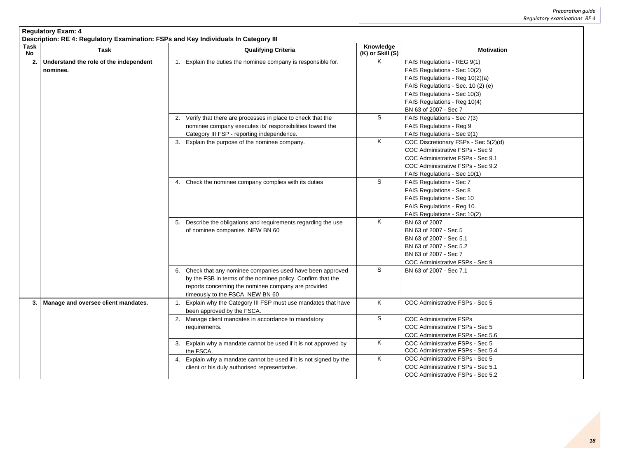|                | <b>Regulatory Exam: 4</b><br>Description: RE 4: Regulatory Examination: FSPs and Key Individuals In Category III |  |                                                                                                                                                                                                                      |                               |                                                                                                                                                                                                                               |  |  |
|----------------|------------------------------------------------------------------------------------------------------------------|--|----------------------------------------------------------------------------------------------------------------------------------------------------------------------------------------------------------------------|-------------------------------|-------------------------------------------------------------------------------------------------------------------------------------------------------------------------------------------------------------------------------|--|--|
| Task<br>No     | <b>Task</b>                                                                                                      |  | <b>Qualifying Criteria</b>                                                                                                                                                                                           | Knowledge<br>(K) or Skill (S) | <b>Motivation</b>                                                                                                                                                                                                             |  |  |
| 2.<br>nominee. | Understand the role of the independent                                                                           |  | Explain the duties the nominee company is responsible for.                                                                                                                                                           | K                             | FAIS Regulations - REG 9(1)<br>FAIS Regulations - Sec 10(2)<br>FAIS Regulations - Reg 10(2)(a)<br>FAIS Regulations - Sec. 10 (2) (e)<br>FAIS Regulations - Sec 10(3)<br>FAIS Regulations - Reg 10(4)<br>BN 63 of 2007 - Sec 7 |  |  |
|                |                                                                                                                  |  | 2. Verify that there are processes in place to check that the<br>nominee company executes its' responsibilities toward the<br>Category III FSP - reporting independence.                                             | S                             | FAIS Regulations - Sec 7(3)<br><b>FAIS Regulations - Reg 9</b><br>FAIS Regulations - Sec 9(1)                                                                                                                                 |  |  |
|                |                                                                                                                  |  | 3. Explain the purpose of the nominee company.                                                                                                                                                                       | K                             | COC Discretionary FSPs - Sec 5(2)(d)<br>COC Administrative FSPs - Sec 9<br>COC Administrative FSPs - Sec 9.1<br>COC Administrative FSPs - Sec 9.2<br>FAIS Regulations - Sec 10(1)                                             |  |  |
|                |                                                                                                                  |  | 4. Check the nominee company complies with its duties                                                                                                                                                                | S                             | <b>FAIS Regulations - Sec 7</b><br><b>FAIS Regulations - Sec 8</b><br>FAIS Regulations - Sec 10<br>FAIS Regulations - Reg 10.<br>FAIS Regulations - Sec 10(2)                                                                 |  |  |
|                |                                                                                                                  |  | 5. Describe the obligations and requirements regarding the use<br>of nominee companies NEW BN 60                                                                                                                     | K                             | BN 63 of 2007<br>BN 63 of 2007 - Sec 5<br>BN 63 of 2007 - Sec 5.1<br>BN 63 of 2007 - Sec 5.2<br>BN 63 of 2007 - Sec 7<br>COC Administrative FSPs - Sec 9                                                                      |  |  |
|                |                                                                                                                  |  | 6. Check that any nominee companies used have been approved<br>by the FSB in terms of the nominee policy. Confirm that the<br>reports concerning the nominee company are provided<br>timeously to the FSCA NEW BN 60 | S                             | BN 63 of 2007 - Sec 7.1                                                                                                                                                                                                       |  |  |
| 3.1            | Manage and oversee client mandates.                                                                              |  | Explain why the Category III FSP must use mandates that have<br>been approved by the FSCA.                                                                                                                           | K                             | COC Administrative FSPs - Sec 5                                                                                                                                                                                               |  |  |
|                |                                                                                                                  |  | 2. Manage client mandates in accordance to mandatory<br>requirements.                                                                                                                                                | S                             | <b>COC Administrative FSPs</b><br>COC Administrative FSPs - Sec 5<br>COC Administrative FSPs - Sec 5.6                                                                                                                        |  |  |
|                |                                                                                                                  |  | 3. Explain why a mandate cannot be used if it is not approved by<br>the FSCA.                                                                                                                                        | K                             | COC Administrative FSPs - Sec 5<br>COC Administrative FSPs - Sec 5.4                                                                                                                                                          |  |  |
|                |                                                                                                                  |  | 4. Explain why a mandate cannot be used if it is not signed by the<br>client or his duly authorised representative.                                                                                                  | K                             | COC Administrative FSPs - Sec 5<br>COC Administrative FSPs - Sec 5.1<br>COC Administrative FSPs - Sec 5.2                                                                                                                     |  |  |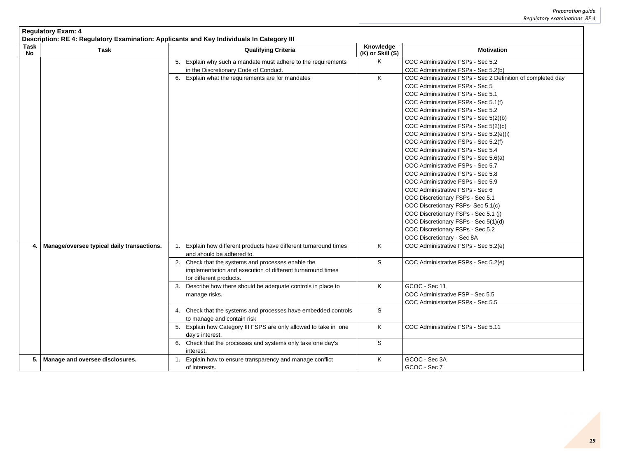|                   | <b>Regulatory Exam: 4</b><br>Description: RE 4: Regulatory Examination: Applicants and Key Individuals In Category III |                                                                                                                                                |                               |                                                                                                                                                                                                                                                                                                                                                                                                                                                                                                                                                                                                                                                                                                                                                                                                                                                  |  |  |  |
|-------------------|------------------------------------------------------------------------------------------------------------------------|------------------------------------------------------------------------------------------------------------------------------------------------|-------------------------------|--------------------------------------------------------------------------------------------------------------------------------------------------------------------------------------------------------------------------------------------------------------------------------------------------------------------------------------------------------------------------------------------------------------------------------------------------------------------------------------------------------------------------------------------------------------------------------------------------------------------------------------------------------------------------------------------------------------------------------------------------------------------------------------------------------------------------------------------------|--|--|--|
| <b>Task</b><br>No | <b>Task</b>                                                                                                            | <b>Qualifying Criteria</b>                                                                                                                     | Knowledge<br>(K) or Skill (S) | <b>Motivation</b>                                                                                                                                                                                                                                                                                                                                                                                                                                                                                                                                                                                                                                                                                                                                                                                                                                |  |  |  |
|                   |                                                                                                                        | 5. Explain why such a mandate must adhere to the requirements<br>in the Discretionary Code of Conduct.                                         | K.                            | COC Administrative FSPs - Sec 5.2<br>COC Administrative FSPs - Sec 5.2(b)                                                                                                                                                                                                                                                                                                                                                                                                                                                                                                                                                                                                                                                                                                                                                                        |  |  |  |
|                   |                                                                                                                        | 6. Explain what the requirements are for mandates                                                                                              | K                             | COC Administrative FSPs - Sec 2 Definition of completed day<br>COC Administrative FSPs - Sec 5<br>COC Administrative FSPs - Sec 5.1<br>COC Administrative FSPs - Sec 5.1(f)<br>COC Administrative FSPs - Sec 5.2<br>COC Administrative FSPs - Sec 5(2)(b)<br>COC Administrative FSPs - Sec 5(2)(c)<br>COC Administrative FSPs - Sec 5.2(e)(i)<br>COC Administrative FSPs - Sec 5.2(f)<br>COC Administrative FSPs - Sec 5.4<br>COC Administrative FSPs - Sec 5.6(a)<br>COC Administrative FSPs - Sec 5.7<br>COC Administrative FSPs - Sec 5.8<br>COC Administrative FSPs - Sec 5.9<br>COC Administrative FSPs - Sec 6<br>COC Discretionary FSPs - Sec 5.1<br>COC Discretionary FSPs- Sec 5.1(c)<br>COC Discretionary FSPs - Sec 5.1 (j)<br>COC Discretionary FSPs - Sec 5(1)(d)<br>COC Discretionary FSPs - Sec 5.2<br>COC Discretionary - Sec 8A |  |  |  |
| 4.                | Manage/oversee typical daily transactions.                                                                             | Explain how different products have different turnaround times<br>and should be adhered to.                                                    | K.                            | COC Administrative FSPs - Sec 5.2(e)                                                                                                                                                                                                                                                                                                                                                                                                                                                                                                                                                                                                                                                                                                                                                                                                             |  |  |  |
|                   |                                                                                                                        | 2.<br>Check that the systems and processes enable the<br>implementation and execution of different turnaround times<br>for different products. | S                             | COC Administrative FSPs - Sec 5.2(e)                                                                                                                                                                                                                                                                                                                                                                                                                                                                                                                                                                                                                                                                                                                                                                                                             |  |  |  |
|                   |                                                                                                                        | 3. Describe how there should be adequate controls in place to<br>manage risks.                                                                 | K.                            | GCOC - Sec 11<br>COC Administrative FSP - Sec 5.5<br>COC Administrative FSPs - Sec 5.5                                                                                                                                                                                                                                                                                                                                                                                                                                                                                                                                                                                                                                                                                                                                                           |  |  |  |
|                   |                                                                                                                        | 4. Check that the systems and processes have embedded controls<br>to manage and contain risk                                                   | S                             |                                                                                                                                                                                                                                                                                                                                                                                                                                                                                                                                                                                                                                                                                                                                                                                                                                                  |  |  |  |
|                   |                                                                                                                        | 5. Explain how Category III FSPS are only allowed to take in one<br>day's interest.                                                            | K                             | COC Administrative FSPs - Sec 5.11                                                                                                                                                                                                                                                                                                                                                                                                                                                                                                                                                                                                                                                                                                                                                                                                               |  |  |  |
|                   |                                                                                                                        | 6. Check that the processes and systems only take one day's<br>interest.                                                                       | S                             |                                                                                                                                                                                                                                                                                                                                                                                                                                                                                                                                                                                                                                                                                                                                                                                                                                                  |  |  |  |
| 5.                | <b>Manage and oversee disclosures.</b>                                                                                 | 1. Explain how to ensure transparency and manage conflict<br>of interests.                                                                     | K                             | GCOC - Sec 3A<br>GCOC - Sec 7                                                                                                                                                                                                                                                                                                                                                                                                                                                                                                                                                                                                                                                                                                                                                                                                                    |  |  |  |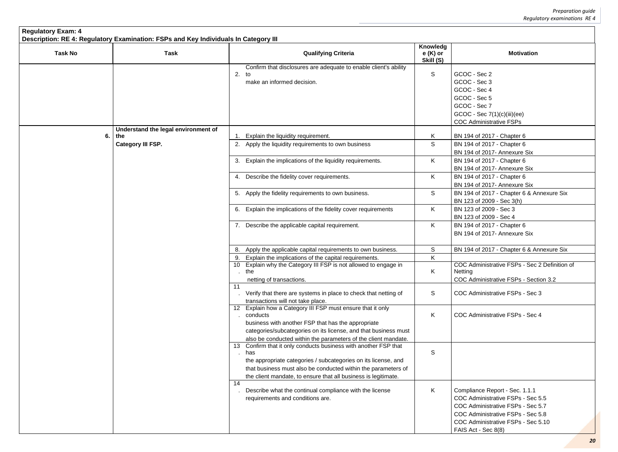| <b>Regulatory Exam: 4</b><br>Description: RE 4: Regulatory Examination: FSPs and Key Individuals In Category III |                                            |                                                                                                                                                                                                                                                                             |                                    |                                                                                                                                                                                                            |  |  |
|------------------------------------------------------------------------------------------------------------------|--------------------------------------------|-----------------------------------------------------------------------------------------------------------------------------------------------------------------------------------------------------------------------------------------------------------------------------|------------------------------------|------------------------------------------------------------------------------------------------------------------------------------------------------------------------------------------------------------|--|--|
| <b>Task No</b>                                                                                                   | <b>Task</b>                                | <b>Qualifying Criteria</b>                                                                                                                                                                                                                                                  | Knowledg<br>$e(K)$ or<br>Skill (S) | <b>Motivation</b>                                                                                                                                                                                          |  |  |
|                                                                                                                  |                                            | Confirm that disclosures are adequate to enable client's ability<br>2.<br>to<br>make an informed decision.                                                                                                                                                                  | S                                  | GCOC - Sec 2<br>GCOC - Sec 3<br>GCOC - Sec 4<br>GCOC - Sec 5<br>GCOC - Sec 7<br>GCOC - Sec 7(1)(c)(iii)(ee)<br><b>COC Administrative FSPs</b>                                                              |  |  |
| 6.                                                                                                               | Understand the legal environment of<br>the | Explain the liquidity requirement.<br>1.                                                                                                                                                                                                                                    | K                                  | BN 194 of 2017 - Chapter 6                                                                                                                                                                                 |  |  |
|                                                                                                                  | <b>Category III FSP.</b>                   | 2. Apply the liquidity requirements to own business                                                                                                                                                                                                                         | S                                  | BN 194 of 2017 - Chapter 6<br>BN 194 of 2017- Annexure Six                                                                                                                                                 |  |  |
|                                                                                                                  |                                            | Explain the implications of the liquidity requirements.<br>3.                                                                                                                                                                                                               | K                                  | BN 194 of 2017 - Chapter 6<br>BN 194 of 2017- Annexure Six                                                                                                                                                 |  |  |
|                                                                                                                  |                                            | 4. Describe the fidelity cover requirements.                                                                                                                                                                                                                                | K                                  | BN 194 of 2017 - Chapter 6<br>BN 194 of 2017- Annexure Six                                                                                                                                                 |  |  |
|                                                                                                                  |                                            | 5. Apply the fidelity requirements to own business.                                                                                                                                                                                                                         | S                                  | BN 194 of 2017 - Chapter 6 & Annexure Six<br>BN 123 of 2009 - Sec 3(h)                                                                                                                                     |  |  |
|                                                                                                                  |                                            | Explain the implications of the fidelity cover requirements<br>6.                                                                                                                                                                                                           | K                                  | BN 123 of 2009 - Sec 3<br>BN 123 of 2009 - Sec 4                                                                                                                                                           |  |  |
|                                                                                                                  |                                            | 7. Describe the applicable capital requirement.                                                                                                                                                                                                                             | K                                  | BN 194 of 2017 - Chapter 6<br>BN 194 of 2017- Annexure Six                                                                                                                                                 |  |  |
|                                                                                                                  |                                            | Apply the applicable capital requirements to own business.<br>8.                                                                                                                                                                                                            | S                                  | BN 194 of 2017 - Chapter 6 & Annexure Six                                                                                                                                                                  |  |  |
|                                                                                                                  |                                            | 9. Explain the implications of the capital requirements.                                                                                                                                                                                                                    | K                                  |                                                                                                                                                                                                            |  |  |
|                                                                                                                  |                                            | 10 Explain why the Category III FSP is not allowed to engage in<br>the<br>netting of transactions.                                                                                                                                                                          | K                                  | COC Administrative FSPs - Sec 2 Definition of<br>Netting<br>COC Administrative FSPs - Section 3.2                                                                                                          |  |  |
|                                                                                                                  |                                            | 11<br>Verify that there are systems in place to check that netting of<br>transactions will not take place.                                                                                                                                                                  | S                                  | COC Administrative FSPs - Sec 3                                                                                                                                                                            |  |  |
|                                                                                                                  |                                            | 12 Explain how a Category III FSP must ensure that it only<br>conducts<br>business with another FSP that has the appropriate<br>categories/subcategories on its license, and that business must<br>also be conducted within the parameters of the client mandate.           | K                                  | COC Administrative FSPs - Sec 4                                                                                                                                                                            |  |  |
|                                                                                                                  |                                            | 13 Confirm that it only conducts business with another FSP that<br>has<br>the appropriate categories / subcategories on its license, and<br>that business must also be conducted within the parameters of<br>the client mandate, to ensure that all business is legitimate. | S                                  |                                                                                                                                                                                                            |  |  |
|                                                                                                                  |                                            | 14<br>Describe what the continual compliance with the license<br>requirements and conditions are.                                                                                                                                                                           | K                                  | Compliance Report - Sec. 1.1.1<br>COC Administrative FSPs - Sec 5.5<br>COC Administrative FSPs - Sec 5.7<br>COC Administrative FSPs - Sec 5.8<br>COC Administrative FSPs - Sec 5.10<br>FAIS Act - Sec 8(8) |  |  |